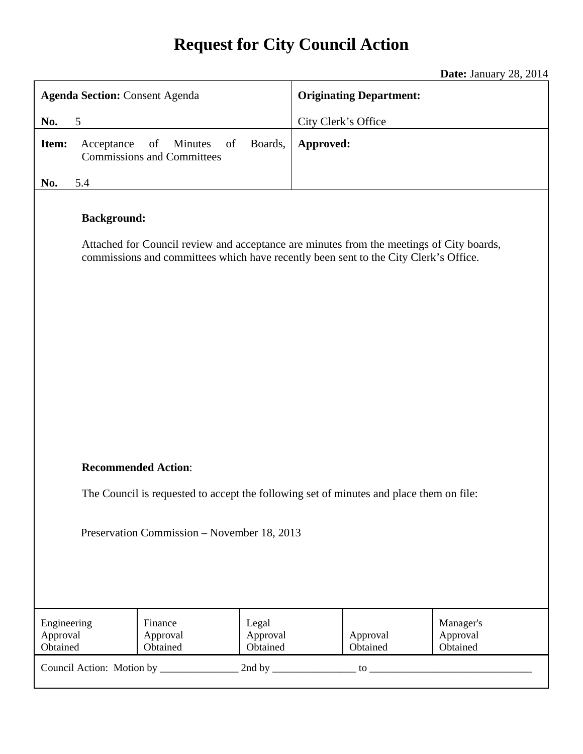# **Request for City Council Action**

**Date:** January 28, 2014

| <b>Agenda Section: Consent Agenda</b>                                                                                                                                                                  |            |                                                          |                               | <b>Originating Department:</b> |                      |                                   |
|--------------------------------------------------------------------------------------------------------------------------------------------------------------------------------------------------------|------------|----------------------------------------------------------|-------------------------------|--------------------------------|----------------------|-----------------------------------|
| No.<br>5                                                                                                                                                                                               |            |                                                          | City Clerk's Office           |                                |                      |                                   |
| Item:                                                                                                                                                                                                  | Acceptance | of<br>of<br>Minutes<br><b>Commissions and Committees</b> | Boards,                       | Approved:                      |                      |                                   |
| No.                                                                                                                                                                                                    | 5.4        |                                                          |                               |                                |                      |                                   |
| <b>Background:</b><br>Attached for Council review and acceptance are minutes from the meetings of City boards,<br>commissions and committees which have recently been sent to the City Clerk's Office. |            |                                                          |                               |                                |                      |                                   |
| <b>Recommended Action:</b>                                                                                                                                                                             |            |                                                          |                               |                                |                      |                                   |
| The Council is requested to accept the following set of minutes and place them on file:                                                                                                                |            |                                                          |                               |                                |                      |                                   |
| Preservation Commission - November 18, 2013                                                                                                                                                            |            |                                                          |                               |                                |                      |                                   |
| Engineering<br>Approval<br>Obtained                                                                                                                                                                    |            | Finance<br>Approval<br>Obtained                          | Legal<br>Approval<br>Obtained |                                | Approval<br>Obtained | Manager's<br>Approval<br>Obtained |
|                                                                                                                                                                                                        |            |                                                          |                               |                                |                      |                                   |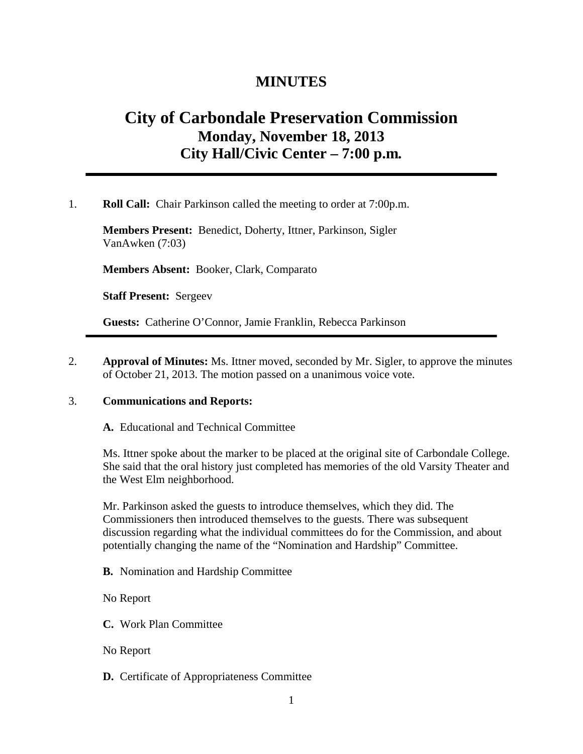### **MINUTES**

## **City of Carbondale Preservation Commission Monday, November 18, 2013 City Hall/Civic Center – 7:00 p.m***.*

1. **Roll Call:** Chair Parkinson called the meeting to order at 7:00p.m.

**Members Present:** Benedict, Doherty, Ittner, Parkinson, Sigler VanAwken (7:03)

**Members Absent:** Booker, Clark, Comparato

**Staff Present:** Sergeev

**Guests:** Catherine O'Connor, Jamie Franklin, Rebecca Parkinson

2. **Approval of Minutes:** Ms. Ittner moved, seconded by Mr. Sigler, to approve the minutes of October 21, 2013. The motion passed on a unanimous voice vote.

#### 3. **Communications and Reports:**

#### **A.** Educational and Technical Committee

Ms. Ittner spoke about the marker to be placed at the original site of Carbondale College. She said that the oral history just completed has memories of the old Varsity Theater and the West Elm neighborhood.

Mr. Parkinson asked the guests to introduce themselves, which they did. The Commissioners then introduced themselves to the guests. There was subsequent discussion regarding what the individual committees do for the Commission, and about potentially changing the name of the "Nomination and Hardship" Committee.

**B.** Nomination and Hardship Committee

No Report

**C.** Work Plan Committee

No Report

#### **D.** Certificate of Appropriateness Committee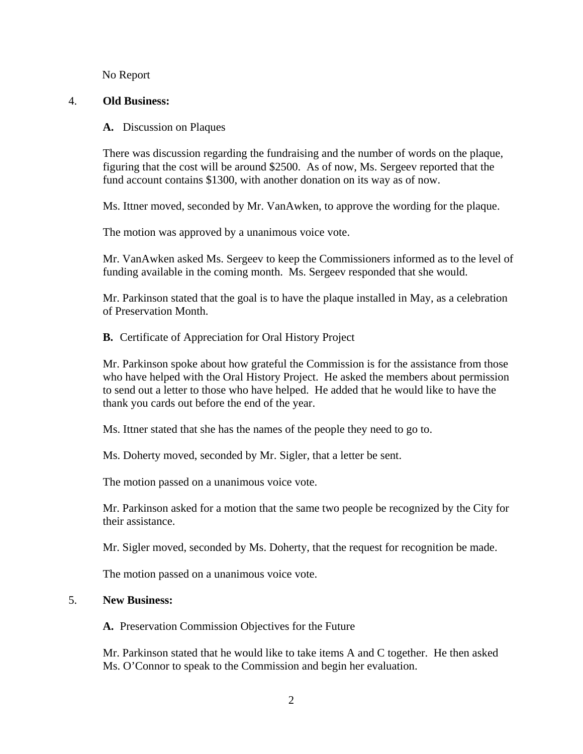No Report

#### 4. **Old Business:**

#### **A.** Discussion on Plaques

There was discussion regarding the fundraising and the number of words on the plaque, figuring that the cost will be around \$2500. As of now, Ms. Sergeev reported that the fund account contains \$1300, with another donation on its way as of now.

Ms. Ittner moved, seconded by Mr. VanAwken, to approve the wording for the plaque.

The motion was approved by a unanimous voice vote.

Mr. VanAwken asked Ms. Sergeev to keep the Commissioners informed as to the level of funding available in the coming month. Ms. Sergeev responded that she would.

Mr. Parkinson stated that the goal is to have the plaque installed in May, as a celebration of Preservation Month.

#### **B.** Certificate of Appreciation for Oral History Project

Mr. Parkinson spoke about how grateful the Commission is for the assistance from those who have helped with the Oral History Project. He asked the members about permission to send out a letter to those who have helped. He added that he would like to have the thank you cards out before the end of the year.

Ms. Ittner stated that she has the names of the people they need to go to.

Ms. Doherty moved, seconded by Mr. Sigler, that a letter be sent.

The motion passed on a unanimous voice vote.

Mr. Parkinson asked for a motion that the same two people be recognized by the City for their assistance.

Mr. Sigler moved, seconded by Ms. Doherty, that the request for recognition be made.

The motion passed on a unanimous voice vote.

#### 5. **New Business:**

**A.** Preservation Commission Objectives for the Future

Mr. Parkinson stated that he would like to take items A and C together. He then asked Ms. O'Connor to speak to the Commission and begin her evaluation.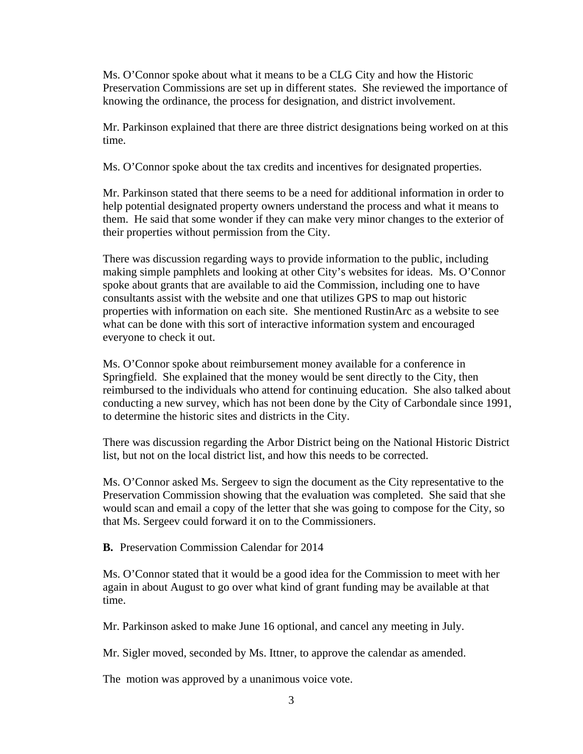Ms. O'Connor spoke about what it means to be a CLG City and how the Historic Preservation Commissions are set up in different states. She reviewed the importance of knowing the ordinance, the process for designation, and district involvement.

Mr. Parkinson explained that there are three district designations being worked on at this time.

Ms. O'Connor spoke about the tax credits and incentives for designated properties.

Mr. Parkinson stated that there seems to be a need for additional information in order to help potential designated property owners understand the process and what it means to them. He said that some wonder if they can make very minor changes to the exterior of their properties without permission from the City.

There was discussion regarding ways to provide information to the public, including making simple pamphlets and looking at other City's websites for ideas. Ms. O'Connor spoke about grants that are available to aid the Commission, including one to have consultants assist with the website and one that utilizes GPS to map out historic properties with information on each site. She mentioned RustinArc as a website to see what can be done with this sort of interactive information system and encouraged everyone to check it out.

Ms. O'Connor spoke about reimbursement money available for a conference in Springfield. She explained that the money would be sent directly to the City, then reimbursed to the individuals who attend for continuing education. She also talked about conducting a new survey, which has not been done by the City of Carbondale since 1991, to determine the historic sites and districts in the City.

There was discussion regarding the Arbor District being on the National Historic District list, but not on the local district list, and how this needs to be corrected.

Ms. O'Connor asked Ms. Sergeev to sign the document as the City representative to the Preservation Commission showing that the evaluation was completed. She said that she would scan and email a copy of the letter that she was going to compose for the City, so that Ms. Sergeev could forward it on to the Commissioners.

**B.** Preservation Commission Calendar for 2014

Ms. O'Connor stated that it would be a good idea for the Commission to meet with her again in about August to go over what kind of grant funding may be available at that time.

Mr. Parkinson asked to make June 16 optional, and cancel any meeting in July.

Mr. Sigler moved, seconded by Ms. Ittner, to approve the calendar as amended.

The motion was approved by a unanimous voice vote.